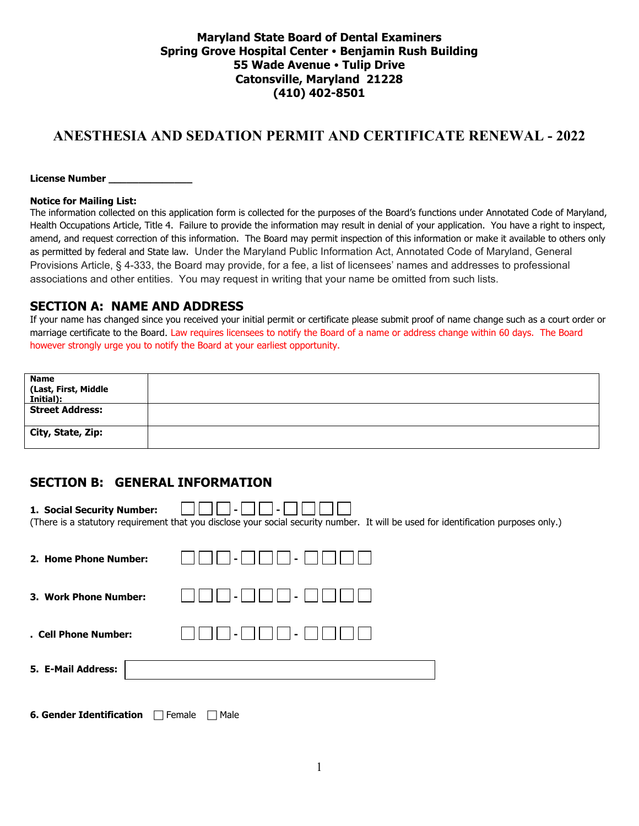### **Maryland State Board of Dental Examiners Spring Grove Hospital Center Benjamin Rush Building 55 Wade Avenue Tulip Drive Catonsville, Maryland 21228 (410) 402-8501**

# **ANESTHESIA AND SEDATION PERMIT AND CERTIFICATE RENEWAL - 2022**

License Number \_\_\_\_\_

#### **Notice for Mailing List:**

The information collected on this application form is collected for the purposes of the Board's functions under Annotated Code of Maryland, Health Occupations Article, Title 4. Failure to provide the information may result in denial of your application. You have a right to inspect, amend, and request correction of this information. The Board may permit inspection of this information or make it available to others only as permitted by federal and State law. Under the Maryland Public Information Act, Annotated Code of Maryland, General Provisions Article, § 4-333, the Board may provide, for a fee, a list of licensees' names and addresses to professional associations and other entities. You may request in writing that your name be omitted from such lists.

#### **SECTION A: NAME AND ADDRESS**

If your name has changed since you received your initial permit or certificate please submit proof of name change such as a court order or marriage certificate to the Board. Law requires licensees to notify the Board of a name or address change within 60 days. The Board however strongly urge you to notify the Board at your earliest opportunity.

| <b>Name</b>                       |  |
|-----------------------------------|--|
| (Last, First, Middle<br>Initial): |  |
|                                   |  |
| <b>Street Address:</b>            |  |
| City, State, Zip:                 |  |

### **SECTION B: GENERAL INFORMATION**

| 1. Social Security Number: | (There is a statutory requirement that you disclose your social security number. It will be used for identification purposes only.) |
|----------------------------|-------------------------------------------------------------------------------------------------------------------------------------|
| 2. Home Phone Number:      |                                                                                                                                     |
| 3. Work Phone Number:      | $\blacksquare$                                                                                                                      |
| . Cell Phone Number:       |                                                                                                                                     |
| 5. E-Mail Address:         |                                                                                                                                     |

**6. Gender Identification Female Male**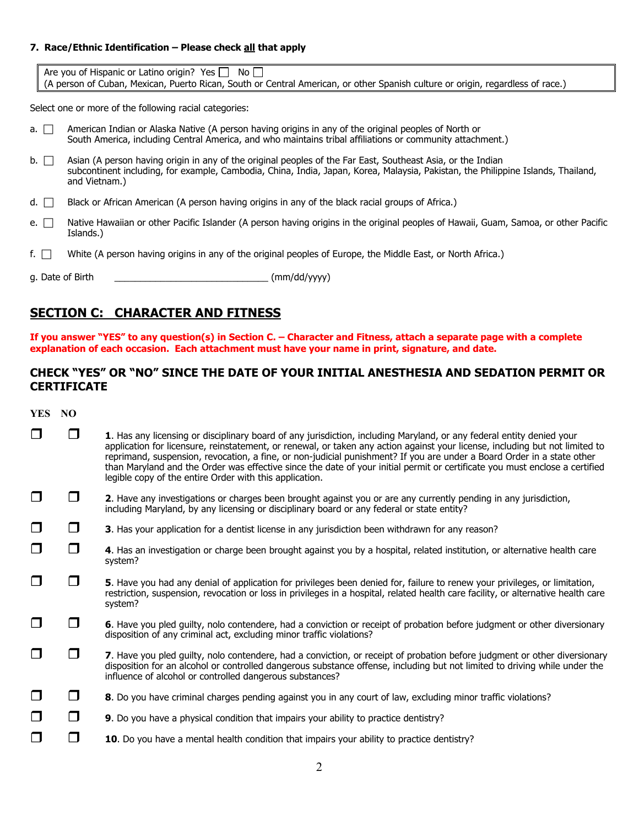#### **7. Race/Ethnic Identification – Please check all that apply**

Are you of Hispanic or Latino origin? Yes  $\Box$  No  $\Box$ (A person of Cuban, Mexican, Puerto Rican, South or Central American, or other Spanish culture or origin, regardless of race.)

Select one or more of the following racial categories:

- a.  $\Box$  American Indian or Alaska Native (A person having origins in any of the original peoples of North or South America, including Central America, and who maintains tribal affiliations or community attachment.)
- $b.$  Asian (A person having origin in any of the original peoples of the Far East, Southeast Asia, or the Indian subcontinent including, for example, Cambodia, China, India, Japan, Korea, Malaysia, Pakistan, the Philippine Islands, Thailand, and Vietnam.)
- d.  $\Box$  Black or African American (A person having origins in any of the black racial groups of Africa.)
- e.  $\Box$  Native Hawaiian or other Pacific Islander (A person having origins in the original peoples of Hawaii, Guam, Samoa, or other Pacific Islands.)
- f.  $\Box$  White (A person having origins in any of the original peoples of Europe, the Middle East, or North Africa.)
- q. Date of Birth  $\sim$  (mm/dd/yyyy)

### **SECTION C: CHARACTER AND FITNESS**

**If you answer "YES" to any question(s) in Section C. – Character and Fitness, attach a separate page with a complete explanation of each occasion. Each attachment must have your name in print, signature, and date.** 

### **CHECK "YES" OR "NO" SINCE THE DATE OF YOUR INITIAL ANESTHESIA AND SEDATION PERMIT OR CERTIFICATE**

**YES NO**

|        |                | 1. Has any licensing or disciplinary board of any jurisdiction, including Maryland, or any federal entity denied your<br>application for licensure, reinstatement, or renewal, or taken any action against your license, including but not limited to<br>reprimand, suspension, revocation, a fine, or non-judicial punishment? If you are under a Board Order in a state other<br>than Maryland and the Order was effective since the date of your initial permit or certificate you must enclose a certified<br>legible copy of the entire Order with this application. |
|--------|----------------|---------------------------------------------------------------------------------------------------------------------------------------------------------------------------------------------------------------------------------------------------------------------------------------------------------------------------------------------------------------------------------------------------------------------------------------------------------------------------------------------------------------------------------------------------------------------------|
| П      |                | 2. Have any investigations or charges been brought against you or are any currently pending in any jurisdiction,<br>including Maryland, by any licensing or disciplinary board or any federal or state entity?                                                                                                                                                                                                                                                                                                                                                            |
| $\Box$ | $\Box$         | 3. Has your application for a dentist license in any jurisdiction been withdrawn for any reason?                                                                                                                                                                                                                                                                                                                                                                                                                                                                          |
| $\Box$ | $\blacksquare$ | 4. Has an investigation or charge been brought against you by a hospital, related institution, or alternative health care<br>system?                                                                                                                                                                                                                                                                                                                                                                                                                                      |
| ⊓      |                | 5. Have you had any denial of application for privileges been denied for, failure to renew your privileges, or limitation,<br>restriction, suspension, revocation or loss in privileges in a hospital, related health care facility, or alternative health care<br>system?                                                                                                                                                                                                                                                                                                |
| ◘      |                | 6. Have you pled quilty, nolo contendere, had a conviction or receipt of probation before judgment or other diversionary<br>disposition of any criminal act, excluding minor traffic violations?                                                                                                                                                                                                                                                                                                                                                                          |
|        |                | 7. Have you pled guilty, nolo contendere, had a conviction, or receipt of probation before judgment or other diversionary<br>disposition for an alcohol or controlled dangerous substance offense, including but not limited to driving while under the<br>influence of alcohol or controlled dangerous substances?                                                                                                                                                                                                                                                       |
| ◘      | n 1            | 8. Do you have criminal charges pending against you in any court of law, excluding minor traffic violations?                                                                                                                                                                                                                                                                                                                                                                                                                                                              |
| ◘      | $\sqcap$       | 9. Do you have a physical condition that impairs your ability to practice dentistry?                                                                                                                                                                                                                                                                                                                                                                                                                                                                                      |
| $\Box$ |                | 10. Do you have a mental health condition that impairs your ability to practice dentistry?                                                                                                                                                                                                                                                                                                                                                                                                                                                                                |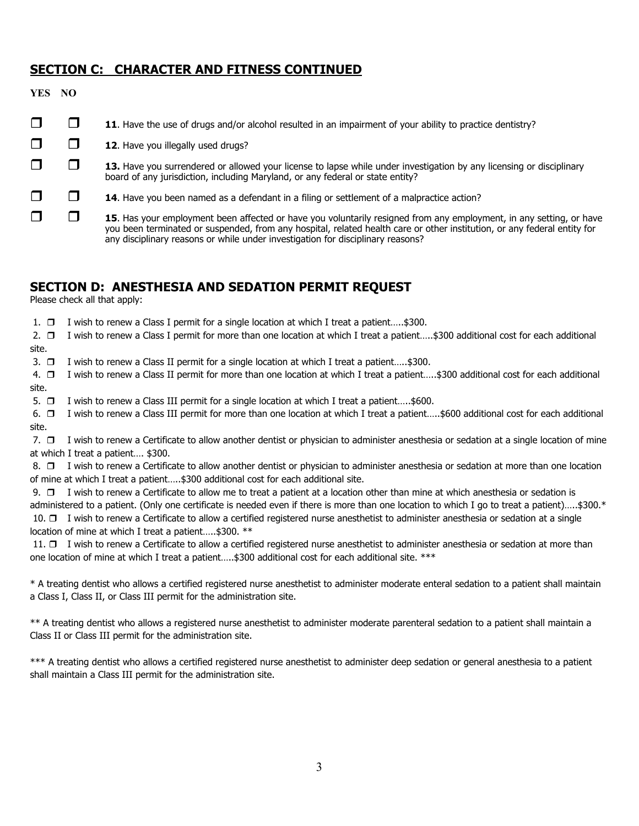### **SECTION C: CHARACTER AND FITNESS CONTINUED**

| YES NO |                                                                                                                                                                                                                                                                                                                                    |
|--------|------------------------------------------------------------------------------------------------------------------------------------------------------------------------------------------------------------------------------------------------------------------------------------------------------------------------------------|
|        | 11. Have the use of drugs and/or alcohol resulted in an impairment of your ability to practice dentistry?                                                                                                                                                                                                                          |
|        | <b>12.</b> Have you illegally used drugs?                                                                                                                                                                                                                                                                                          |
|        | 13. Have you surrendered or allowed your license to lapse while under investigation by any licensing or disciplinary<br>board of any jurisdiction, including Maryland, or any federal or state entity?                                                                                                                             |
|        | <b>14.</b> Have you been named as a defendant in a filing or settlement of a malpractice action?                                                                                                                                                                                                                                   |
|        | 15. Has your employment been affected or have you voluntarily resigned from any employment, in any setting, or have<br>you been terminated or suspended, from any hospital, related health care or other institution, or any federal entity for<br>any disciplinary reasons or while under investigation for disciplinary reasons? |

## **SECTION D: ANESTHESIA AND SEDATION PERMIT REQUEST**

Please check all that apply:

1.  $\Box$  I wish to renew a Class I permit for a single location at which I treat a patient.....\$300.

2. □ I wish to renew a Class I permit for more than one location at which I treat a patient…..\$300 additional cost for each additional site.

3.  $\Box$  I wish to renew a Class II permit for a single location at which I treat a patient.....\$300.

 4. I wish to renew a Class II permit for more than one location at which I treat a patient…..\$300 additional cost for each additional site.

5.  $\Box$  I wish to renew a Class III permit for a single location at which I treat a patient.....\$600.

 6. I wish to renew a Class III permit for more than one location at which I treat a patient…..\$600 additional cost for each additional site.

7.  $\Box$  I wish to renew a Certificate to allow another dentist or physician to administer anesthesia or sedation at a single location of mine at which I treat a patient…. \$300.

8. □ I wish to renew a Certificate to allow another dentist or physician to administer anesthesia or sedation at more than one location of mine at which I treat a patient…..\$300 additional cost for each additional site.

9.  $\Box$  I wish to renew a Certificate to allow me to treat a patient at a location other than mine at which anesthesia or sedation is administered to a patient. (Only one certificate is needed even if there is more than one location to which I go to treat a patient).....\$300.\* 10.  $\Box$  I wish to renew a Certificate to allow a certified registered nurse anesthetist to administer anesthesia or sedation at a single location of mine at which I treat a patient..... \$300. \*\*

11.  $\square$  I wish to renew a Certificate to allow a certified registered nurse anesthetist to administer anesthesia or sedation at more than one location of mine at which I treat a patient.....\$300 additional cost for each additional site. \*\*\*

\* A treating dentist who allows a certified registered nurse anesthetist to administer moderate enteral sedation to a patient shall maintain a Class I, Class II, or Class III permit for the administration site.

\*\* A treating dentist who allows a registered nurse anesthetist to administer moderate parenteral sedation to a patient shall maintain a Class II or Class III permit for the administration site.

\*\*\* A treating dentist who allows a certified registered nurse anesthetist to administer deep sedation or general anesthesia to a patient shall maintain a Class III permit for the administration site.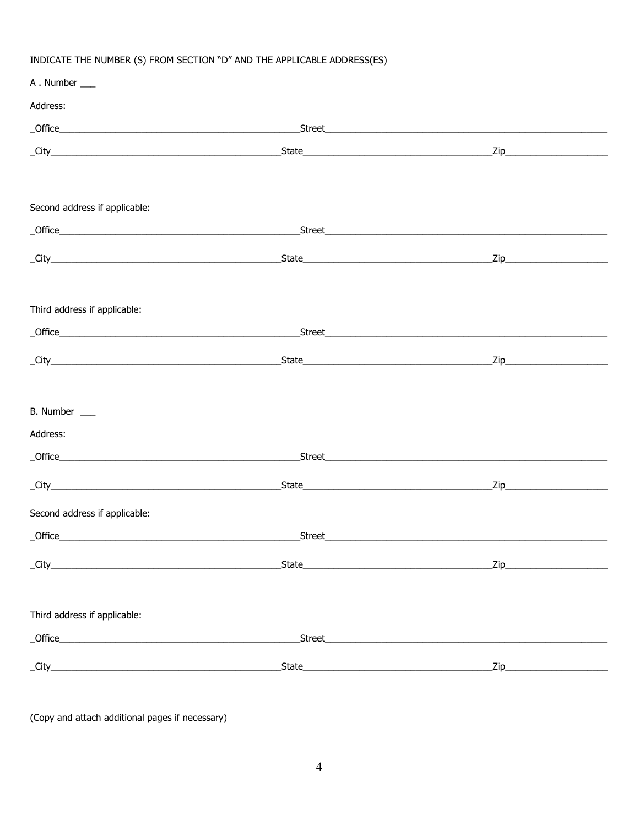## INDICATE THE NUMBER (S) FROM SECTION "D" AND THE APPLICABLE ADDRESS(ES)

| A. Number                             |                                                                                                                       |  |
|---------------------------------------|-----------------------------------------------------------------------------------------------------------------------|--|
| Address:                              |                                                                                                                       |  |
|                                       |                                                                                                                       |  |
|                                       |                                                                                                                       |  |
|                                       |                                                                                                                       |  |
| Second address if applicable:         |                                                                                                                       |  |
|                                       | <u>Street en andere staan de staan de staan de staan de staan de staan de staan de staan de staan de staan de sta</u> |  |
|                                       |                                                                                                                       |  |
| Third address if applicable:          |                                                                                                                       |  |
|                                       |                                                                                                                       |  |
|                                       |                                                                                                                       |  |
| B. Number ___                         |                                                                                                                       |  |
| Address:                              |                                                                                                                       |  |
|                                       | <u>Street en andere staan de staan de staan de staan de staan de staan de staan de staan de staan de staan de sta</u> |  |
|                                       |                                                                                                                       |  |
| Second address if applicable:         |                                                                                                                       |  |
| <b>Office CONSERVING CONSERVATION</b> | <u>Street en andere staan de staan de staan de staan de staan de staan de staan de staan de staan de staan de sta</u> |  |
|                                       |                                                                                                                       |  |
| Third address if applicable:          |                                                                                                                       |  |
|                                       |                                                                                                                       |  |
|                                       |                                                                                                                       |  |
|                                       |                                                                                                                       |  |

(Copy and attach additional pages if necessary)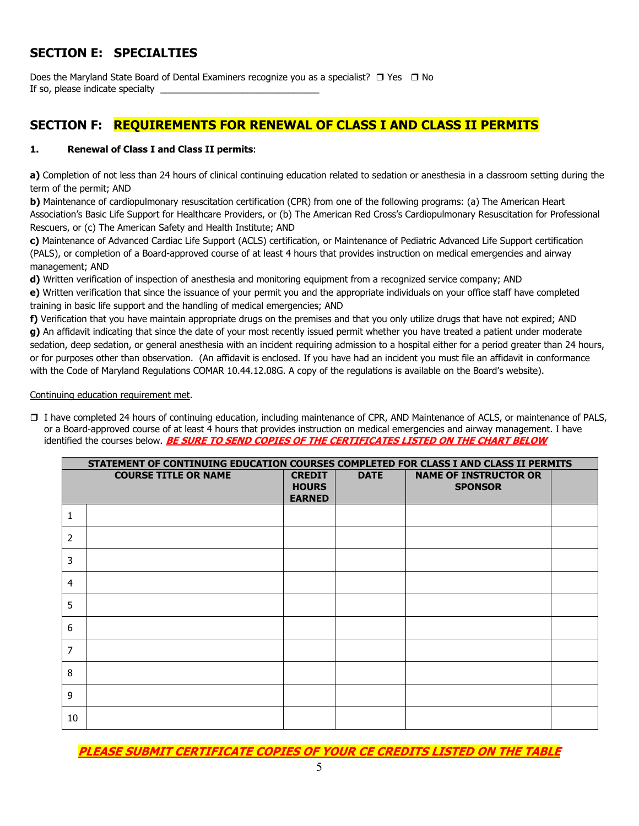# **SECTION E: SPECIALTIES**

Does the Maryland State Board of Dental Examiners recognize you as a specialist?  $\Box$  Yes  $\Box$  No If so, please indicate specialty

## **SECTION F: REQUIREMENTS FOR RENEWAL OF CLASS I AND CLASS II PERMITS**

#### **1. Renewal of Class I and Class II permits**:

**a)** Completion of not less than 24 hours of clinical continuing education related to sedation or anesthesia in a classroom setting during the term of the permit; AND

**b)** Maintenance of cardiopulmonary resuscitation certification (CPR) from one of the following programs: (a) The American Heart Association's Basic Life Support for Healthcare Providers, or (b) The American Red Cross's Cardiopulmonary Resuscitation for Professional Rescuers, or (c) The American Safety and Health Institute; AND

**c)** Maintenance of Advanced Cardiac Life Support (ACLS) certification, or Maintenance of Pediatric Advanced Life Support certification (PALS), or completion of a Board-approved course of at least 4 hours that provides instruction on medical emergencies and airway management; AND

**d)** Written verification of inspection of anesthesia and monitoring equipment from a recognized service company; AND **e)** Written verification that since the issuance of your permit you and the appropriate individuals on your office staff have completed

training in basic life support and the handling of medical emergencies; AND

**f)** Verification that you have maintain appropriate drugs on the premises and that you only utilize drugs that have not expired; AND **g)** An affidavit indicating that since the date of your most recently issued permit whether you have treated a patient under moderate sedation, deep sedation, or general anesthesia with an incident requiring admission to a hospital either for a period greater than 24 hours, or for purposes other than observation. (An affidavit is enclosed. If you have had an incident you must file an affidavit in conformance with the Code of Maryland Regulations COMAR 10.44.12.08G. A copy of the regulations is available on the Board's website).

Continuing education requirement met.

 I have completed 24 hours of continuing education, including maintenance of CPR, AND Maintenance of ACLS, or maintenance of PALS, or a Board-approved course of at least 4 hours that provides instruction on medical emergencies and airway management. I have identified the courses below. **BE SURE TO SEND COPIES OF THE CERTIFICATES LISTED ON THE CHART BELOW** 

|                | STATEMENT OF CONTINUING EDUCATION COURSES COMPLETED FOR CLASS I AND CLASS II PERMITS |                                                |             |                                                |  |  |  |  |
|----------------|--------------------------------------------------------------------------------------|------------------------------------------------|-------------|------------------------------------------------|--|--|--|--|
|                | <b>COURSE TITLE OR NAME</b>                                                          | <b>CREDIT</b><br><b>HOURS</b><br><b>EARNED</b> | <b>DATE</b> | <b>NAME OF INSTRUCTOR OR</b><br><b>SPONSOR</b> |  |  |  |  |
| 1              |                                                                                      |                                                |             |                                                |  |  |  |  |
| $\overline{2}$ |                                                                                      |                                                |             |                                                |  |  |  |  |
| 3              |                                                                                      |                                                |             |                                                |  |  |  |  |
| $\overline{4}$ |                                                                                      |                                                |             |                                                |  |  |  |  |
| 5              |                                                                                      |                                                |             |                                                |  |  |  |  |
| 6              |                                                                                      |                                                |             |                                                |  |  |  |  |
| 7              |                                                                                      |                                                |             |                                                |  |  |  |  |
| 8              |                                                                                      |                                                |             |                                                |  |  |  |  |
| 9              |                                                                                      |                                                |             |                                                |  |  |  |  |
| 10             |                                                                                      |                                                |             |                                                |  |  |  |  |

**PLEASE SUBMIT CERTIFICATE COPIES OF YOUR CE CREDITS LISTED ON THE TABLE**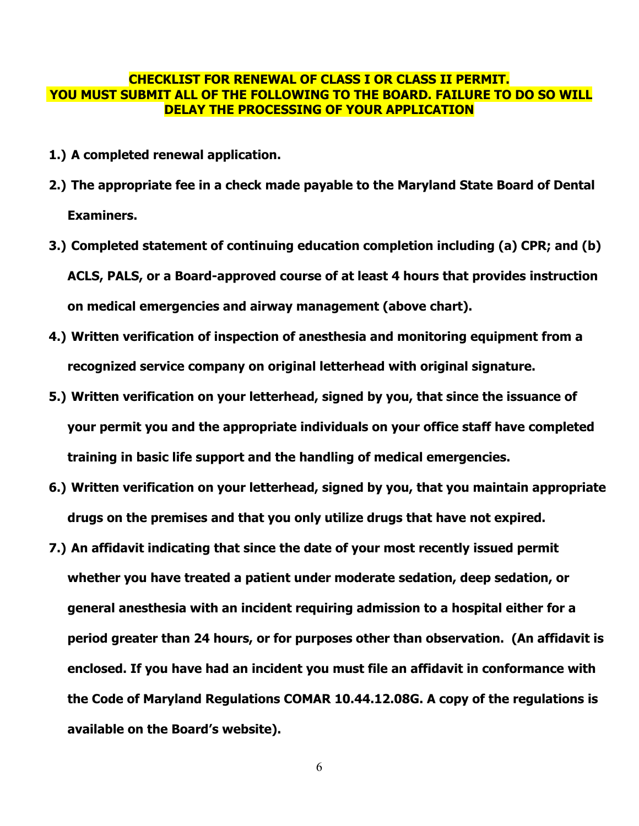### **CHECKLIST FOR RENEWAL OF CLASS I OR CLASS II PERMIT. YOU MUST SUBMIT ALL OF THE FOLLOWING TO THE BOARD. FAILURE TO DO SO WILL DELAY THE PROCESSING OF YOUR APPLICATION**

- **1.) A completed renewal application.**
- **2.) The appropriate fee in a check made payable to the Maryland State Board of Dental Examiners.**
- **3.) Completed statement of continuing education completion including (a) CPR; and (b) ACLS, PALS, or a Board-approved course of at least 4 hours that provides instruction on medical emergencies and airway management (above chart).**
- **4.) Written verification of inspection of anesthesia and monitoring equipment from a recognized service company on original letterhead with original signature.**
- **5.) Written verification on your letterhead, signed by you, that since the issuance of your permit you and the appropriate individuals on your office staff have completed training in basic life support and the handling of medical emergencies.**
- **6.) Written verification on your letterhead, signed by you, that you maintain appropriate drugs on the premises and that you only utilize drugs that have not expired.**
- **7.) An affidavit indicating that since the date of your most recently issued permit whether you have treated a patient under moderate sedation, deep sedation, or general anesthesia with an incident requiring admission to a hospital either for a period greater than 24 hours, or for purposes other than observation. (An affidavit is enclosed. If you have had an incident you must file an affidavit in conformance with the Code of Maryland Regulations COMAR 10.44.12.08G. A copy of the regulations is available on the Board's website).**

6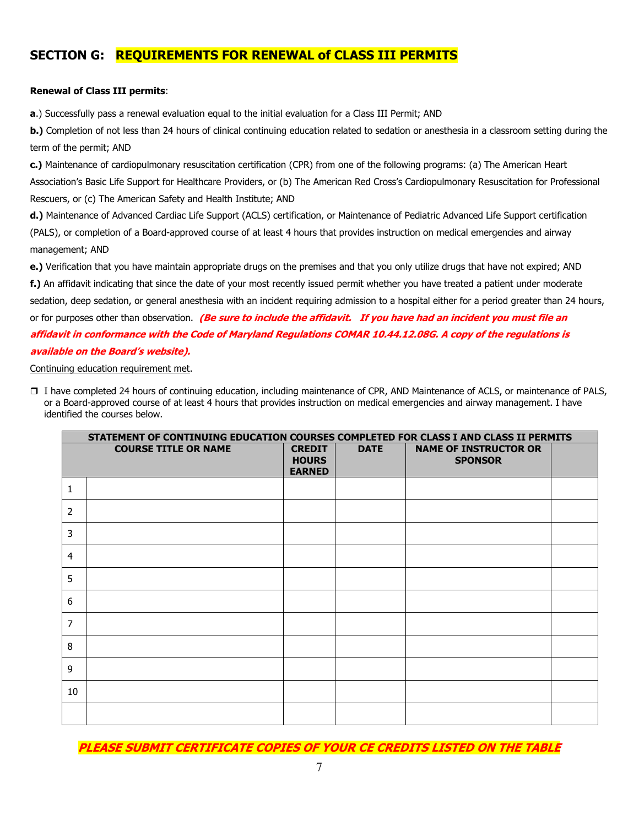## **SECTION G: REQUIREMENTS FOR RENEWAL of CLASS III PERMITS**

#### **Renewal of Class III permits**:

**a**.) Successfully pass a renewal evaluation equal to the initial evaluation for a Class III Permit; AND

**b.**) Completion of not less than 24 hours of clinical continuing education related to sedation or anesthesia in a classroom setting during the term of the permit; AND

**c.)** Maintenance of cardiopulmonary resuscitation certification (CPR) from one of the following programs: (a) The American Heart Association's Basic Life Support for Healthcare Providers, or (b) The American Red Cross's Cardiopulmonary Resuscitation for Professional Rescuers, or (c) The American Safety and Health Institute; AND

**d.)** Maintenance of Advanced Cardiac Life Support (ACLS) certification, or Maintenance of Pediatric Advanced Life Support certification (PALS), or completion of a Board-approved course of at least 4 hours that provides instruction on medical emergencies and airway management; AND

**e.)** Verification that you have maintain appropriate drugs on the premises and that you only utilize drugs that have not expired; AND

**f.)** An affidavit indicating that since the date of your most recently issued permit whether you have treated a patient under moderate sedation, deep sedation, or general anesthesia with an incident requiring admission to a hospital either for a period greater than 24 hours, or for purposes other than observation. **(Be sure to include the affidavit. If you have had an incident you must file an affidavit in conformance with the Code of Maryland Regulations COMAR 10.44.12.08G. A copy of the regulations is available on the Board's website).** 

Continuing education requirement met.

 I have completed 24 hours of continuing education, including maintenance of CPR, AND Maintenance of ACLS, or maintenance of PALS, or a Board-approved course of at least 4 hours that provides instruction on medical emergencies and airway management. I have identified the courses below.

|                | STATEMENT OF CONTINUING EDUCATION COURSES COMPLETED FOR CLASS I AND CLASS II PERMITS |                                                |             |                                                |  |  |  |
|----------------|--------------------------------------------------------------------------------------|------------------------------------------------|-------------|------------------------------------------------|--|--|--|
|                | <b>COURSE TITLE OR NAME</b>                                                          | <b>CREDIT</b><br><b>HOURS</b><br><b>EARNED</b> | <b>DATE</b> | <b>NAME OF INSTRUCTOR OR</b><br><b>SPONSOR</b> |  |  |  |
| 1              |                                                                                      |                                                |             |                                                |  |  |  |
| $\overline{2}$ |                                                                                      |                                                |             |                                                |  |  |  |
| 3              |                                                                                      |                                                |             |                                                |  |  |  |
| $\overline{4}$ |                                                                                      |                                                |             |                                                |  |  |  |
| 5              |                                                                                      |                                                |             |                                                |  |  |  |
| 6              |                                                                                      |                                                |             |                                                |  |  |  |
| $\overline{7}$ |                                                                                      |                                                |             |                                                |  |  |  |
| 8              |                                                                                      |                                                |             |                                                |  |  |  |
| 9              |                                                                                      |                                                |             |                                                |  |  |  |
| 10             |                                                                                      |                                                |             |                                                |  |  |  |
|                |                                                                                      |                                                |             |                                                |  |  |  |

**PLEASE SUBMIT CERTIFICATE COPIES OF YOUR CE CREDITS LISTED ON THE TABLE**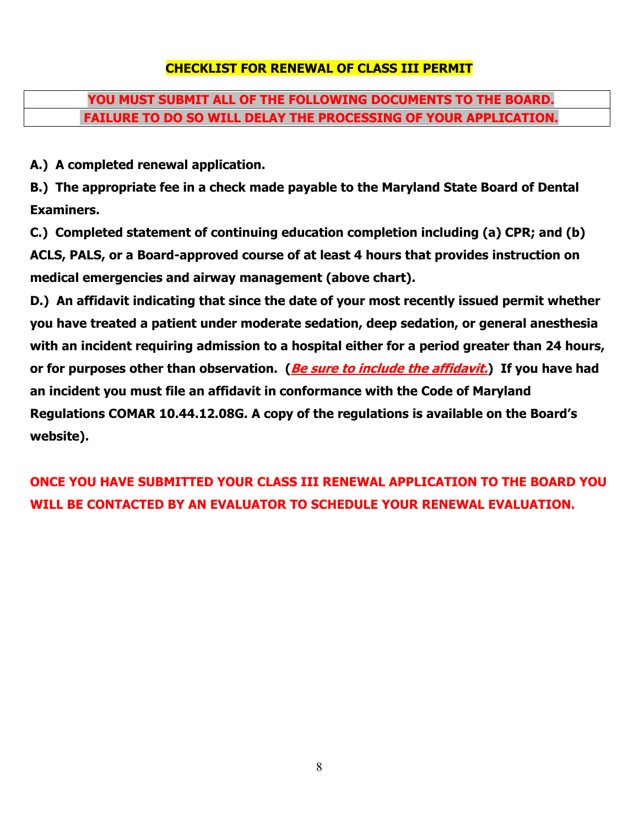# **CHECKLIST FOR RENEWAL OF CLASS III PERMIT**

# **YOU MUST SUBMIT ALL OF THE FOLLOWING DOCUMENTS TO THE BOARD. FAILURE TO DO SO WILL DELAY THE PROCESSING OF YOUR APPLICATION.**

**A.) A completed renewal application.** 

**B.) The appropriate fee in a check made payable to the Maryland State Board of Dental Examiners.** 

**C.) Completed statement of continuing education completion including (a) CPR; and (b) ACLS, PALS, or a Board-approved course of at least 4 hours that provides instruction on medical emergencies and airway management (above chart).** 

**D.) An affidavit indicating that since the date of your most recently issued permit whether you have treated a patient under moderate sedation, deep sedation, or general anesthesia with an incident requiring admission to a hospital either for a period greater than 24 hours, or for purposes other than observation. (Be sure to include the affidavit.) If you have had an incident you must file an affidavit in conformance with the Code of Maryland Regulations COMAR 10.44.12.08G. A copy of the regulations is available on the Board's website).** 

**ONCE YOU HAVE SUBMITTED YOUR CLASS III RENEWAL APPLICATION TO THE BOARD YOU WILL BE CONTACTED BY AN EVALUATOR TO SCHEDULE YOUR RENEWAL EVALUATION.**